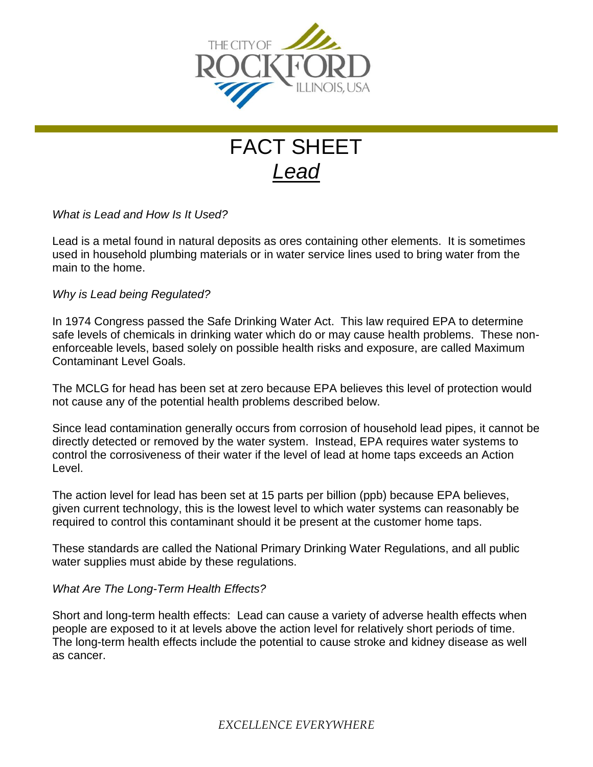

## FACT SHEET *Lead*

*What is Lead and How Is It Used?*

Lead is a metal found in natural deposits as ores containing other elements. It is sometimes used in household plumbing materials or in water service lines used to bring water from the main to the home.

*Why is Lead being Regulated?*

In 1974 Congress passed the Safe Drinking Water Act. This law required EPA to determine safe levels of chemicals in drinking water which do or may cause health problems. These nonenforceable levels, based solely on possible health risks and exposure, are called Maximum Contaminant Level Goals.

The MCLG for head has been set at zero because EPA believes this level of protection would not cause any of the potential health problems described below.

Since lead contamination generally occurs from corrosion of household lead pipes, it cannot be directly detected or removed by the water system. Instead, EPA requires water systems to control the corrosiveness of their water if the level of lead at home taps exceeds an Action Level.

The action level for lead has been set at 15 parts per billion (ppb) because EPA believes, given current technology, this is the lowest level to which water systems can reasonably be required to control this contaminant should it be present at the customer home taps.

These standards are called the National Primary Drinking Water Regulations, and all public water supplies must abide by these regulations.

## *What Are The Long-Term Health Effects?*

Short and long-term health effects: Lead can cause a variety of adverse health effects when people are exposed to it at levels above the action level for relatively short periods of time. The long-term health effects include the potential to cause stroke and kidney disease as well as cancer.